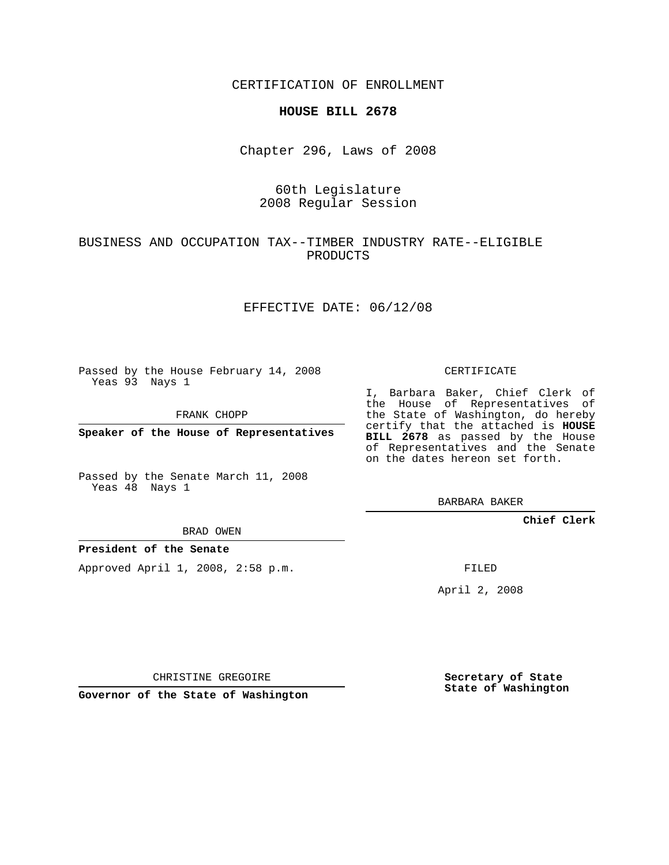CERTIFICATION OF ENROLLMENT

### **HOUSE BILL 2678**

Chapter 296, Laws of 2008

## 60th Legislature 2008 Regular Session

## BUSINESS AND OCCUPATION TAX--TIMBER INDUSTRY RATE--ELIGIBLE PRODUCTS

### EFFECTIVE DATE: 06/12/08

Passed by the House February 14, 2008 Yeas 93 Nays 1

FRANK CHOPP

**Speaker of the House of Representatives**

Passed by the Senate March 11, 2008 Yeas 48 Nays 1

#### BRAD OWEN

## **President of the Senate**

Approved April 1, 2008, 2:58 p.m.

#### CERTIFICATE

I, Barbara Baker, Chief Clerk of the House of Representatives of the State of Washington, do hereby certify that the attached is **HOUSE BILL 2678** as passed by the House of Representatives and the Senate on the dates hereon set forth.

BARBARA BAKER

**Chief Clerk**

FILED

April 2, 2008

CHRISTINE GREGOIRE

**Governor of the State of Washington**

**Secretary of State State of Washington**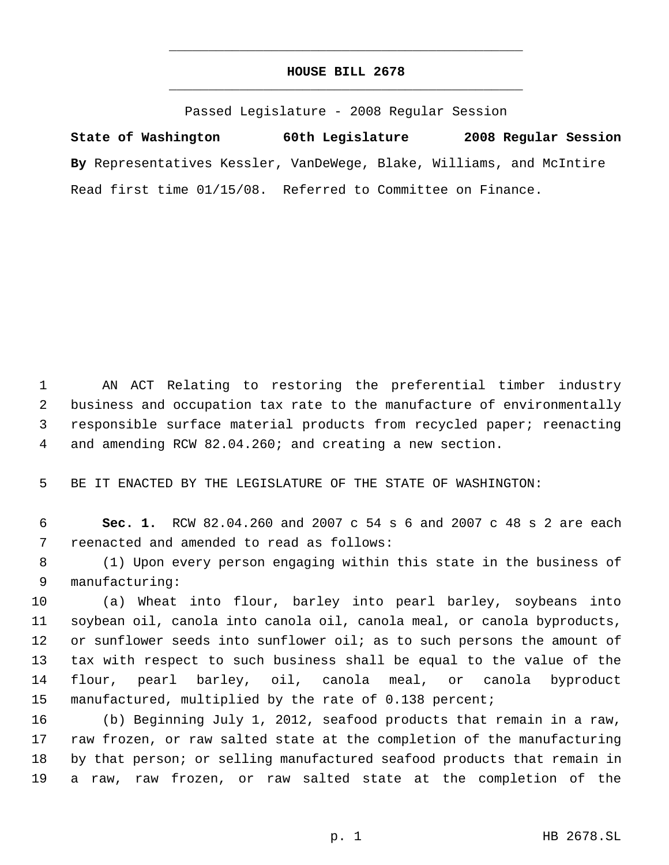# **HOUSE BILL 2678** \_\_\_\_\_\_\_\_\_\_\_\_\_\_\_\_\_\_\_\_\_\_\_\_\_\_\_\_\_\_\_\_\_\_\_\_\_\_\_\_\_\_\_\_\_

\_\_\_\_\_\_\_\_\_\_\_\_\_\_\_\_\_\_\_\_\_\_\_\_\_\_\_\_\_\_\_\_\_\_\_\_\_\_\_\_\_\_\_\_\_

Passed Legislature - 2008 Regular Session

**State of Washington 60th Legislature 2008 Regular Session By** Representatives Kessler, VanDeWege, Blake, Williams, and McIntire Read first time 01/15/08. Referred to Committee on Finance.

 AN ACT Relating to restoring the preferential timber industry business and occupation tax rate to the manufacture of environmentally responsible surface material products from recycled paper; reenacting and amending RCW 82.04.260; and creating a new section.

BE IT ENACTED BY THE LEGISLATURE OF THE STATE OF WASHINGTON:

 **Sec. 1.** RCW 82.04.260 and 2007 c 54 s 6 and 2007 c 48 s 2 are each reenacted and amended to read as follows:

 (1) Upon every person engaging within this state in the business of manufacturing:

 (a) Wheat into flour, barley into pearl barley, soybeans into soybean oil, canola into canola oil, canola meal, or canola byproducts, 12 or sunflower seeds into sunflower oil; as to such persons the amount of tax with respect to such business shall be equal to the value of the flour, pearl barley, oil, canola meal, or canola byproduct manufactured, multiplied by the rate of 0.138 percent;

 (b) Beginning July 1, 2012, seafood products that remain in a raw, raw frozen, or raw salted state at the completion of the manufacturing by that person; or selling manufactured seafood products that remain in a raw, raw frozen, or raw salted state at the completion of the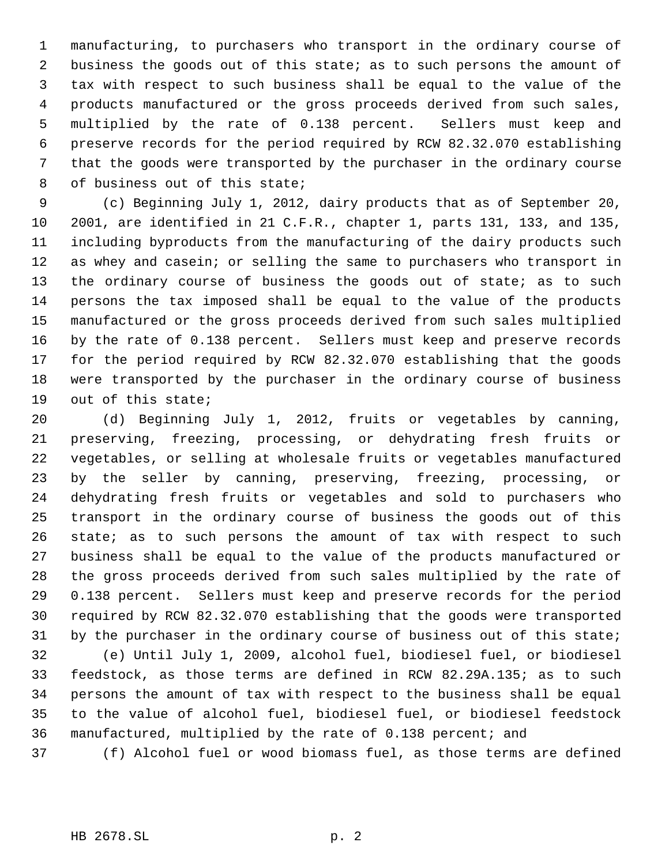manufacturing, to purchasers who transport in the ordinary course of business the goods out of this state; as to such persons the amount of tax with respect to such business shall be equal to the value of the products manufactured or the gross proceeds derived from such sales, multiplied by the rate of 0.138 percent. Sellers must keep and preserve records for the period required by RCW 82.32.070 establishing that the goods were transported by the purchaser in the ordinary course of business out of this state;

 (c) Beginning July 1, 2012, dairy products that as of September 20, 2001, are identified in 21 C.F.R., chapter 1, parts 131, 133, and 135, including byproducts from the manufacturing of the dairy products such as whey and casein; or selling the same to purchasers who transport in 13 the ordinary course of business the goods out of state; as to such persons the tax imposed shall be equal to the value of the products manufactured or the gross proceeds derived from such sales multiplied by the rate of 0.138 percent. Sellers must keep and preserve records for the period required by RCW 82.32.070 establishing that the goods were transported by the purchaser in the ordinary course of business out of this state;

 (d) Beginning July 1, 2012, fruits or vegetables by canning, preserving, freezing, processing, or dehydrating fresh fruits or vegetables, or selling at wholesale fruits or vegetables manufactured by the seller by canning, preserving, freezing, processing, or dehydrating fresh fruits or vegetables and sold to purchasers who transport in the ordinary course of business the goods out of this 26 state; as to such persons the amount of tax with respect to such business shall be equal to the value of the products manufactured or the gross proceeds derived from such sales multiplied by the rate of 0.138 percent. Sellers must keep and preserve records for the period required by RCW 82.32.070 establishing that the goods were transported by the purchaser in the ordinary course of business out of this state; (e) Until July 1, 2009, alcohol fuel, biodiesel fuel, or biodiesel feedstock, as those terms are defined in RCW 82.29A.135; as to such

 persons the amount of tax with respect to the business shall be equal to the value of alcohol fuel, biodiesel fuel, or biodiesel feedstock manufactured, multiplied by the rate of 0.138 percent; and

(f) Alcohol fuel or wood biomass fuel, as those terms are defined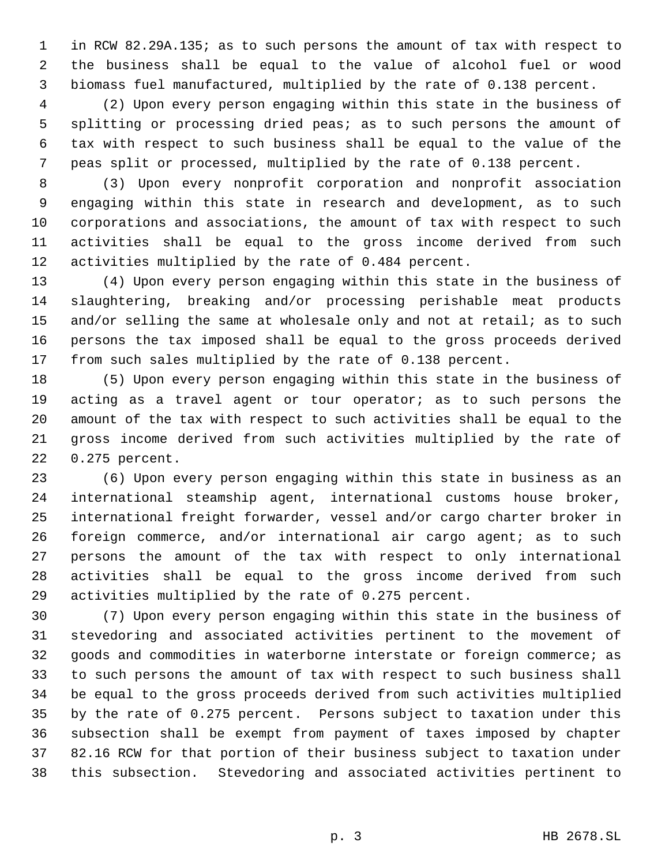in RCW 82.29A.135; as to such persons the amount of tax with respect to the business shall be equal to the value of alcohol fuel or wood biomass fuel manufactured, multiplied by the rate of 0.138 percent.

 (2) Upon every person engaging within this state in the business of splitting or processing dried peas; as to such persons the amount of tax with respect to such business shall be equal to the value of the peas split or processed, multiplied by the rate of 0.138 percent.

 (3) Upon every nonprofit corporation and nonprofit association engaging within this state in research and development, as to such corporations and associations, the amount of tax with respect to such activities shall be equal to the gross income derived from such activities multiplied by the rate of 0.484 percent.

 (4) Upon every person engaging within this state in the business of slaughtering, breaking and/or processing perishable meat products 15 and/or selling the same at wholesale only and not at retail; as to such persons the tax imposed shall be equal to the gross proceeds derived from such sales multiplied by the rate of 0.138 percent.

 (5) Upon every person engaging within this state in the business of 19 acting as a travel agent or tour operator; as to such persons the amount of the tax with respect to such activities shall be equal to the gross income derived from such activities multiplied by the rate of 0.275 percent.

 (6) Upon every person engaging within this state in business as an international steamship agent, international customs house broker, international freight forwarder, vessel and/or cargo charter broker in foreign commerce, and/or international air cargo agent; as to such persons the amount of the tax with respect to only international activities shall be equal to the gross income derived from such activities multiplied by the rate of 0.275 percent.

 (7) Upon every person engaging within this state in the business of stevedoring and associated activities pertinent to the movement of goods and commodities in waterborne interstate or foreign commerce; as to such persons the amount of tax with respect to such business shall be equal to the gross proceeds derived from such activities multiplied by the rate of 0.275 percent. Persons subject to taxation under this subsection shall be exempt from payment of taxes imposed by chapter 82.16 RCW for that portion of their business subject to taxation under this subsection. Stevedoring and associated activities pertinent to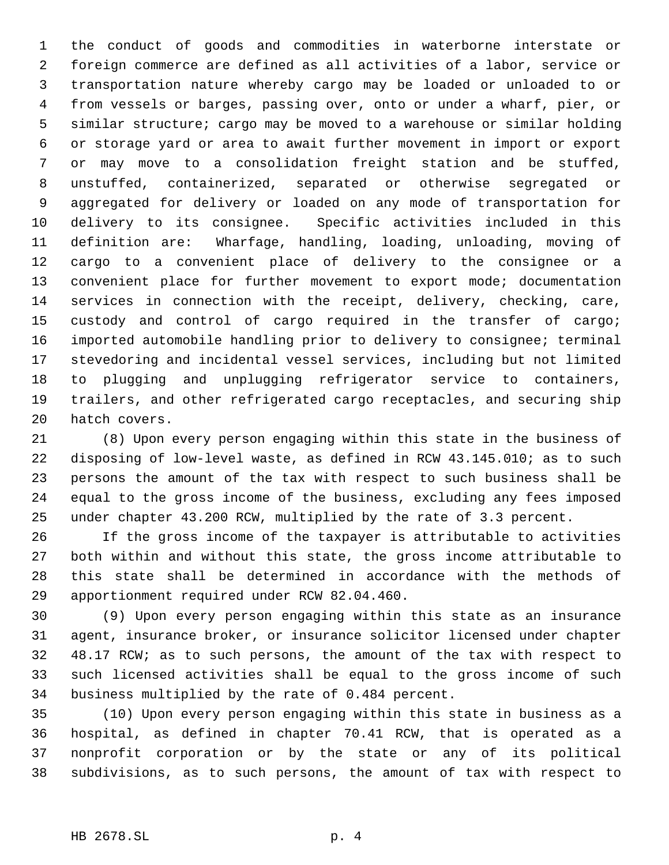the conduct of goods and commodities in waterborne interstate or foreign commerce are defined as all activities of a labor, service or transportation nature whereby cargo may be loaded or unloaded to or from vessels or barges, passing over, onto or under a wharf, pier, or similar structure; cargo may be moved to a warehouse or similar holding or storage yard or area to await further movement in import or export or may move to a consolidation freight station and be stuffed, unstuffed, containerized, separated or otherwise segregated or aggregated for delivery or loaded on any mode of transportation for delivery to its consignee. Specific activities included in this definition are: Wharfage, handling, loading, unloading, moving of cargo to a convenient place of delivery to the consignee or a convenient place for further movement to export mode; documentation services in connection with the receipt, delivery, checking, care, custody and control of cargo required in the transfer of cargo; imported automobile handling prior to delivery to consignee; terminal stevedoring and incidental vessel services, including but not limited to plugging and unplugging refrigerator service to containers, trailers, and other refrigerated cargo receptacles, and securing ship hatch covers.

 (8) Upon every person engaging within this state in the business of disposing of low-level waste, as defined in RCW 43.145.010; as to such persons the amount of the tax with respect to such business shall be equal to the gross income of the business, excluding any fees imposed under chapter 43.200 RCW, multiplied by the rate of 3.3 percent.

 If the gross income of the taxpayer is attributable to activities both within and without this state, the gross income attributable to this state shall be determined in accordance with the methods of apportionment required under RCW 82.04.460.

 (9) Upon every person engaging within this state as an insurance agent, insurance broker, or insurance solicitor licensed under chapter 48.17 RCW; as to such persons, the amount of the tax with respect to such licensed activities shall be equal to the gross income of such business multiplied by the rate of 0.484 percent.

 (10) Upon every person engaging within this state in business as a hospital, as defined in chapter 70.41 RCW, that is operated as a nonprofit corporation or by the state or any of its political subdivisions, as to such persons, the amount of tax with respect to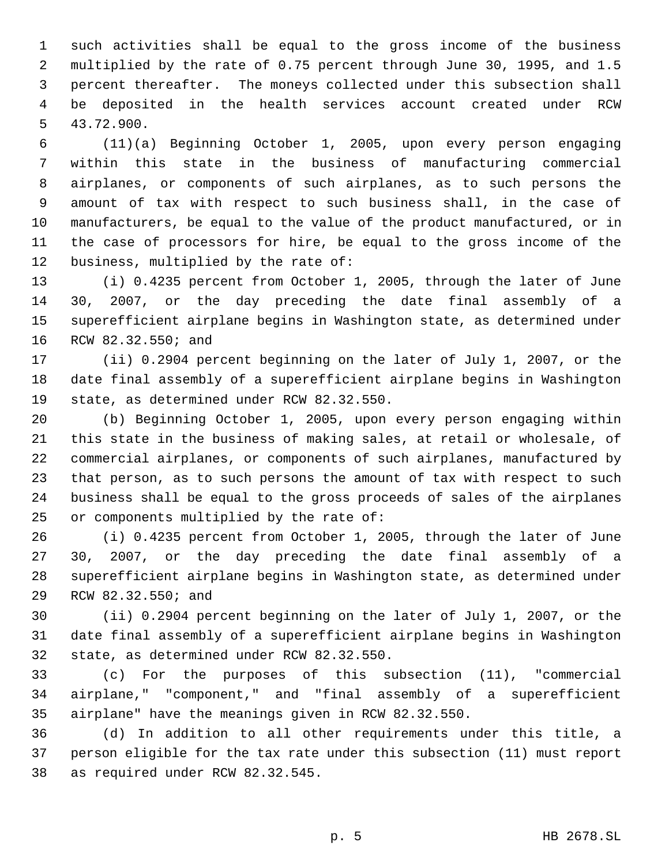such activities shall be equal to the gross income of the business multiplied by the rate of 0.75 percent through June 30, 1995, and 1.5 percent thereafter. The moneys collected under this subsection shall be deposited in the health services account created under RCW 43.72.900.

 (11)(a) Beginning October 1, 2005, upon every person engaging within this state in the business of manufacturing commercial airplanes, or components of such airplanes, as to such persons the amount of tax with respect to such business shall, in the case of manufacturers, be equal to the value of the product manufactured, or in the case of processors for hire, be equal to the gross income of the business, multiplied by the rate of:

 (i) 0.4235 percent from October 1, 2005, through the later of June 30, 2007, or the day preceding the date final assembly of a superefficient airplane begins in Washington state, as determined under RCW 82.32.550; and

 (ii) 0.2904 percent beginning on the later of July 1, 2007, or the date final assembly of a superefficient airplane begins in Washington state, as determined under RCW 82.32.550.

 (b) Beginning October 1, 2005, upon every person engaging within this state in the business of making sales, at retail or wholesale, of commercial airplanes, or components of such airplanes, manufactured by that person, as to such persons the amount of tax with respect to such business shall be equal to the gross proceeds of sales of the airplanes or components multiplied by the rate of:

 (i) 0.4235 percent from October 1, 2005, through the later of June 30, 2007, or the day preceding the date final assembly of a superefficient airplane begins in Washington state, as determined under RCW 82.32.550; and

 (ii) 0.2904 percent beginning on the later of July 1, 2007, or the date final assembly of a superefficient airplane begins in Washington state, as determined under RCW 82.32.550.

 (c) For the purposes of this subsection (11), "commercial airplane," "component," and "final assembly of a superefficient airplane" have the meanings given in RCW 82.32.550.

 (d) In addition to all other requirements under this title, a person eligible for the tax rate under this subsection (11) must report as required under RCW 82.32.545.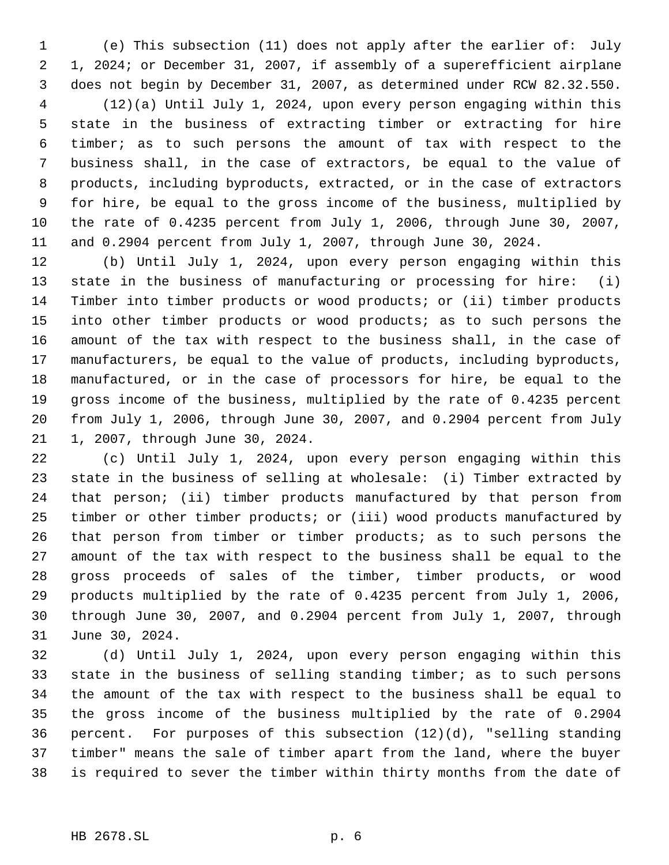(e) This subsection (11) does not apply after the earlier of: July 1, 2024; or December 31, 2007, if assembly of a superefficient airplane does not begin by December 31, 2007, as determined under RCW 82.32.550.

 (12)(a) Until July 1, 2024, upon every person engaging within this state in the business of extracting timber or extracting for hire timber; as to such persons the amount of tax with respect to the business shall, in the case of extractors, be equal to the value of products, including byproducts, extracted, or in the case of extractors for hire, be equal to the gross income of the business, multiplied by the rate of 0.4235 percent from July 1, 2006, through June 30, 2007, and 0.2904 percent from July 1, 2007, through June 30, 2024.

 (b) Until July 1, 2024, upon every person engaging within this state in the business of manufacturing or processing for hire: (i) Timber into timber products or wood products; or (ii) timber products 15 into other timber products or wood products; as to such persons the amount of the tax with respect to the business shall, in the case of manufacturers, be equal to the value of products, including byproducts, manufactured, or in the case of processors for hire, be equal to the gross income of the business, multiplied by the rate of 0.4235 percent from July 1, 2006, through June 30, 2007, and 0.2904 percent from July 1, 2007, through June 30, 2024.

 (c) Until July 1, 2024, upon every person engaging within this state in the business of selling at wholesale: (i) Timber extracted by that person; (ii) timber products manufactured by that person from timber or other timber products; or (iii) wood products manufactured by that person from timber or timber products; as to such persons the amount of the tax with respect to the business shall be equal to the gross proceeds of sales of the timber, timber products, or wood products multiplied by the rate of 0.4235 percent from July 1, 2006, through June 30, 2007, and 0.2904 percent from July 1, 2007, through June 30, 2024.

 (d) Until July 1, 2024, upon every person engaging within this state in the business of selling standing timber; as to such persons the amount of the tax with respect to the business shall be equal to the gross income of the business multiplied by the rate of 0.2904 percent. For purposes of this subsection (12)(d), "selling standing timber" means the sale of timber apart from the land, where the buyer is required to sever the timber within thirty months from the date of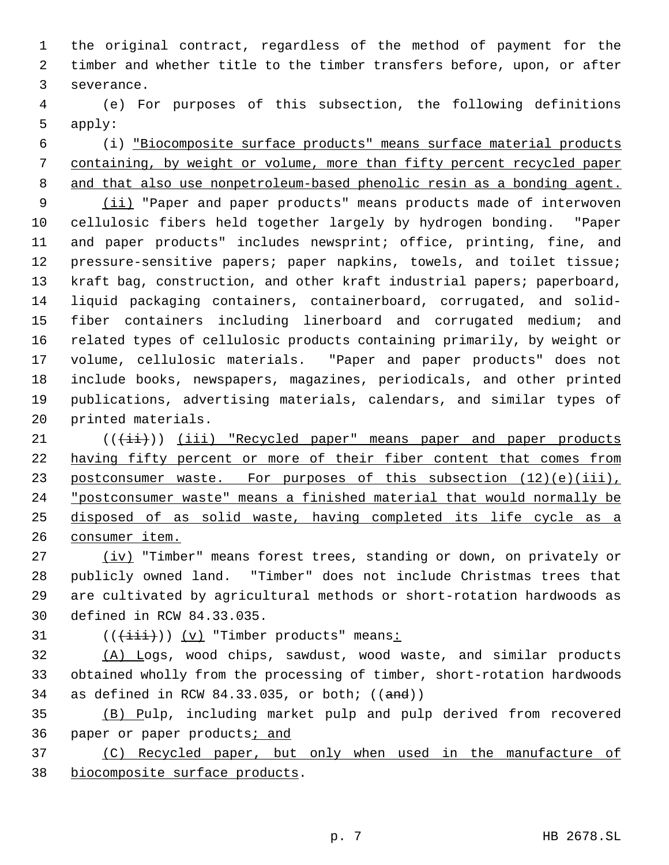the original contract, regardless of the method of payment for the timber and whether title to the timber transfers before, upon, or after severance.

 (e) For purposes of this subsection, the following definitions apply:

 (i) "Biocomposite surface products" means surface material products containing, by weight or volume, more than fifty percent recycled paper and that also use nonpetroleum-based phenolic resin as a bonding agent.

9 (ii) "Paper and paper products" means products made of interwoven cellulosic fibers held together largely by hydrogen bonding. "Paper and paper products" includes newsprint; office, printing, fine, and pressure-sensitive papers; paper napkins, towels, and toilet tissue; kraft bag, construction, and other kraft industrial papers; paperboard, liquid packaging containers, containerboard, corrugated, and solid- fiber containers including linerboard and corrugated medium; and related types of cellulosic products containing primarily, by weight or volume, cellulosic materials. "Paper and paper products" does not include books, newspapers, magazines, periodicals, and other printed publications, advertising materials, calendars, and similar types of printed materials.

 $($  ( $(\overrightarrow{\text{iii}}))$   $(iii)$  "Recycled paper" means paper and paper products 22 having fifty percent or more of their fiber content that comes from 23 postconsumer waste. For purposes of this subsection (12)(e)(iii), "postconsumer waste" means a finished material that would normally be disposed of as solid waste, having completed its life cycle as a consumer item.

27 (iv) "Timber" means forest trees, standing or down, on privately or publicly owned land. "Timber" does not include Christmas trees that are cultivated by agricultural methods or short-rotation hardwoods as defined in RCW 84.33.035.

31  $((\overrightarrow{\text{init}}))$   $(v)$  "Timber products" means:

 (A) Logs, wood chips, sawdust, wood waste, and similar products obtained wholly from the processing of timber, short-rotation hardwoods 34 as defined in RCW  $84.33.035$ , or both;  $((and))$ 

 (B) Pulp, including market pulp and pulp derived from recovered 36 paper or paper products; and

 (C) Recycled paper, but only when used in the manufacture of biocomposite surface products.